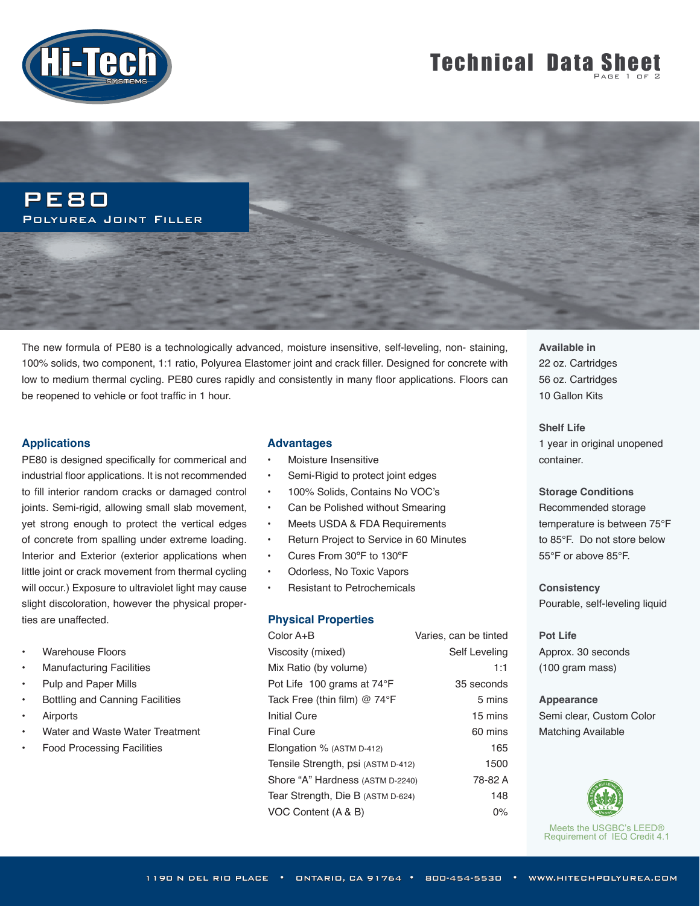

# **Technical Data Sheet**



The new formula of PE80 is a technologically advanced, moisture insensitive, self-leveling, non- staining, 100% solids, two component, 1:1 ratio, Polyurea Elastomer joint and crack filler. Designed for concrete with low to medium thermal cycling. PE80 cures rapidly and consistently in many floor applications. Floors can be reopened to vehicle or foot traffic in 1 hour.

#### **Applications**

PE80 is designed specifically for commerical and industrial floor applications. It is not recommended to fill interior random cracks or damaged control joints. Semi-rigid, allowing small slab movement, yet strong enough to protect the vertical edges of concrete from spalling under extreme loading. Interior and Exterior (exterior applications when little joint or crack movement from thermal cycling will occur.) Exposure to ultraviolet light may cause slight discoloration, however the physical properties are unaffected.

- Warehouse Floors
- Manufacturing Facilities
- Pulp and Paper Mills
- Bottling and Canning Facilities
- **Airports**
- Water and Waste Water Treatment
- Food Processing Facilities

#### **Advantages**

- Moisture Insensitive
- Semi-Rigid to protect joint edges
- 100% Solids, Contains No VOC's
- Can be Polished without Smearing
- Meets USDA & FDA Requirements
- Return Project to Service in 60 Minutes
- Cures From 30ºF to 130ºF
- Odorless, No Toxic Vapors
- Resistant to Petrochemicals

#### **Physical Properties**

| Color A+B                             | Varies, can be tinted |
|---------------------------------------|-----------------------|
| Viscosity (mixed)                     | Self Leveling         |
| Mix Ratio (by volume)                 | 1:1                   |
| Pot Life 100 grams at 74°F            | 35 seconds            |
| Tack Free (thin film) $@ 74^{\circ}F$ | 5 mins                |
| <b>Initial Cure</b>                   | 15 mins               |
| <b>Final Cure</b>                     | 60 mins               |
| Elongation % (ASTM D-412)             | 165                   |
| Tensile Strength, psi (ASTM D-412)    | 1500                  |
| Shore "A" Hardness (ASTM D-2240)      | 78-82 A               |
| Tear Strength, Die B (ASTM D-624)     | 148                   |
| VOC Content (A & B)                   | $0\%$                 |

**Available in** 22 oz. Cartridges 56 oz. Cartridges 10 Gallon Kits

**Shelf Life**  1 year in original unopened container.

**Storage Conditions** Recommended storage temperature is between 75°F to 85°F. Do not store below 55°F or above 85°F.

**Consistency** Pourable, self-leveling liquid

**Pot Life** Approx. 30 seconds (100 gram mass)

**Appearance** Semi clear, Custom Color Matching Available



Meets the USGBC's LEED® Requirement of IEQ Credit 4.1